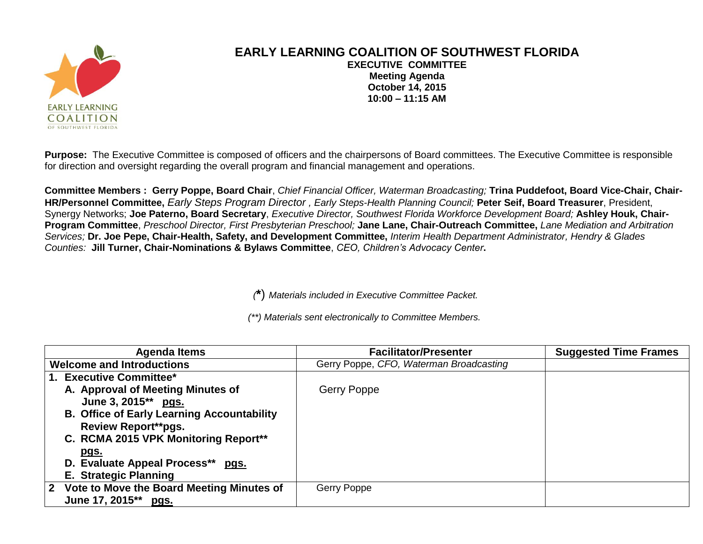

## **EARLY LEARNING COALITION OF SOUTHWEST FLORIDA EXECUTIVE COMMITTEE Meeting Agenda October 14, 2015 10:00 – 11:15 AM**

**Purpose:** The Executive Committee is composed of officers and the chairpersons of Board committees. The Executive Committee is responsible for direction and oversight regarding the overall program and financial management and operations.

**Committee Members : Gerry Poppe, Board Chair**, *Chief Financial Officer, Waterman Broadcasting;* **Trina Puddefoot, Board Vice-Chair, Chair-HR/Personnel Committee,** *Early Steps Program Director , Early Steps-Health Planning Council;* **Peter Seif, Board Treasurer**, President, Synergy Networks; **Joe Paterno, Board Secretary**, *Executive Director, Southwest Florida Workforce Development Board;* **Ashley Houk, Chair-Program Committee**, *Preschool Director, First Presbyterian Preschool;* **Jane Lane, Chair-Outreach Committee,** *Lane Mediation and Arbitration Services;* **Dr. Joe Pepe, Chair-Health, Safety, and Development Committee,** *Interim Health Department Administrator, Hendry & Glades Counties:* **Jill Turner, Chair-Nominations & Bylaws Committee**, *CEO, Children's Advocacy Center***.**

*(***\***) *Materials included in Executive Committee Packet.*

*(\*\*) Materials sent electronically to Committee Members.*

| Agenda Items                                      | <b>Facilitator/Presenter</b>            | <b>Suggested Time Frames</b> |
|---------------------------------------------------|-----------------------------------------|------------------------------|
| <b>Welcome and Introductions</b>                  | Gerry Poppe, CFO, Waterman Broadcasting |                              |
| 1. Executive Committee*                           |                                         |                              |
| A. Approval of Meeting Minutes of                 | Gerry Poppe                             |                              |
| June 3, 2015** pgs.                               |                                         |                              |
| <b>B. Office of Early Learning Accountability</b> |                                         |                              |
| <b>Review Report**pgs.</b>                        |                                         |                              |
| C. RCMA 2015 VPK Monitoring Report**              |                                         |                              |
| <u>pgs.</u>                                       |                                         |                              |
| D. Evaluate Appeal Process** pgs.                 |                                         |                              |
| <b>E. Strategic Planning</b>                      |                                         |                              |
| 2 Vote to Move the Board Meeting Minutes of       | Gerry Poppe                             |                              |
| June 17, 2015** pgs.                              |                                         |                              |